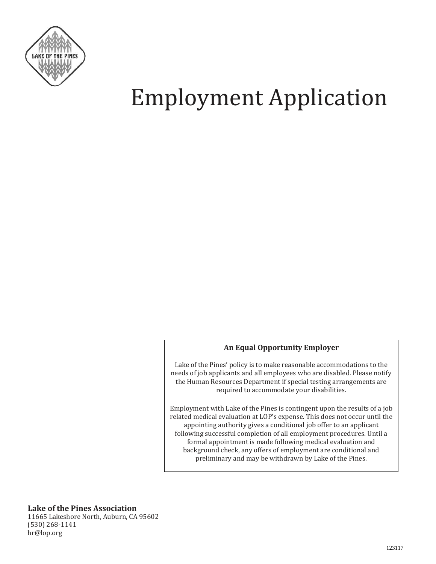

# Employment Application

#### **An Equal Opportunity Employer**

Lake of the Pines' policy is to make reasonable accommodations to the needs of job applicants and all employees who are disabled. Please notify the Human Resources Department if special testing arrangements are required to accommodate your disabilities.

Employment with Lake of the Pines is contingent upon the results of a job related medical evaluation at LOP's expense. This does not occur until the appointing authority gives a conditional job offer to an applicant following successful completion of all employment procedures. Until a formal appointment is made following medical evaluation and background check, any offers of employment are conditional and preliminary and may be withdrawn by Lake of the Pines.

**Lake of the Pines Association** 

11665 Lakeshore North, Auburn, CA 95602 (530) 268-1141 hr@lop.org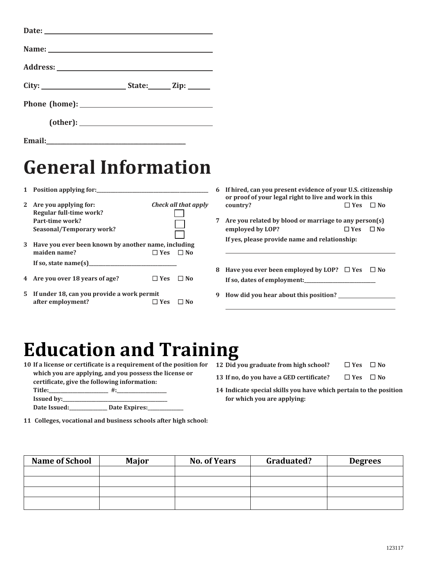### **General Information**

**1 Position applying for:\_\_\_\_\_\_\_\_\_\_\_\_\_\_\_\_\_\_\_\_\_\_\_\_\_\_\_\_\_\_\_\_\_\_\_\_\_\_\_\_\_\_\_\_\_\_\_**

**Email:**\_\_\_\_\_\_\_\_\_\_\_\_\_\_\_\_\_\_\_\_\_\_\_\_\_\_\_\_\_\_\_\_\_\_\_\_\_\_\_\_\_\_\_\_\_\_\_\_

- **2 Are you applying for:** *Check all that apply* **Regular full-time work? Part-time work? Seasonal/Temporary work?**
- **3 Have you ever been known by another name, including maiden name? ☐ Yes ☐ No If so, state name(s)\_\_\_\_\_\_\_\_\_\_\_\_\_\_\_\_\_\_\_\_\_\_\_\_\_\_\_\_\_\_\_\_\_\_\_\_\_**
- **4 Are you over 18 years of age? ☐ Yes ☐ No**
- **5 If under 18, can you provide a work permit after employment? ☐ Yes ☐ No**
- **6 If hired, can you present evidence of your U.S. citizenship or proof of your legal right to live and work in this country? ☐ Yes ☐ No**
- **7 Are you related by blood or marriage to any person(s) employed by LOP?** ☐ **Yes** ☐ **No If yes, please provide name and relationship:**
- **8 Have you ever been employed by LOP? ☐ Yes ☐ No If so, dates of employment:\_\_\_\_\_\_\_\_\_\_\_\_\_\_\_\_\_\_\_\_\_\_\_\_\_\_\_\_\_\_**
- **9 How did you hear about this position?**

#### **Education and Training**

- **10 If a license or certificate is a requirement of the position for which you are applying, and you possess the license or** 
	- **certificate, give the following information:**  Title: \_\_\_\_\_\_\_\_\_\_\_\_\_\_\_\_\_\_\_\_\_\_\_\_\_\_\_\_\_ #:\_\_\_ **Issued by:\_\_**
	- Date Issued: Date Expires:
- **11 Colleges, vocational and business schools after high school:**
- **12 Did you graduate from high school? ☐ Yes ☐ No**
- **13 If no, do you have a GED certificate? ☐ Yes ☐ No**
- **14 Indicate special skills you have which pertain to the position for which you are applying:**

| <b>Name of School</b> | <b>Major</b> | <b>No. of Years</b> | Graduated? | <b>Degrees</b> |
|-----------------------|--------------|---------------------|------------|----------------|
|                       |              |                     |            |                |
|                       |              |                     |            |                |
|                       |              |                     |            |                |
|                       |              |                     |            |                |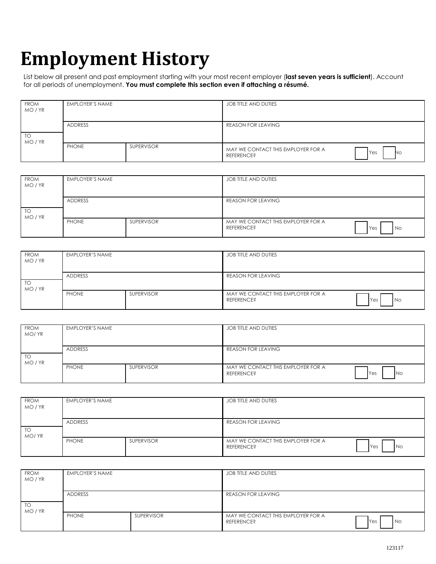## **Employment History**

List below all present and past employment starting with your most recent employer (**last seven years is sufficient**). Account for all periods of unemployment. **You must complete this section even if attaching a résumé.** 

| <b>FROM</b><br>MO/YR | <b>EMPLOYER'S NAME</b> |                   | <b>JOB TITLE AND DUTIES</b>                             |           |
|----------------------|------------------------|-------------------|---------------------------------------------------------|-----------|
| <b>TO</b><br>MO/YR   | ADDRESS                |                   | <b>REASON FOR LEAVING</b>                               |           |
|                      | PHONE                  | <b>SUPERVISOR</b> | MAY WE CONTACT THIS EMPLOYER FOR A<br><b>REFERENCE?</b> | Yes<br>No |

| <b>FROM</b><br>MO/YR | EMPLOYER'S NAME |                   | JOB TITLE AND DUTIES                                                  |  |
|----------------------|-----------------|-------------------|-----------------------------------------------------------------------|--|
| TO<br>MO/YR          | <b>ADDRESS</b>  |                   | <b>REASON FOR LEAVING</b>                                             |  |
|                      | <b>PHONE</b>    | <b>SUPERVISOR</b> | MAY WE CONTACT THIS EMPLOYER FOR A<br><b>REFERENCE?</b><br>No.<br>Yes |  |

| <b>FROM</b><br>MO/YR | <b>EMPLOYER'S NAME</b> |                   | JOB TITLE AND DUTIES                                    |             |
|----------------------|------------------------|-------------------|---------------------------------------------------------|-------------|
| TO<br>MO / YR        | ADDRESS                |                   | <b>REASON FOR LEAVING</b>                               |             |
|                      | <b>PHONE</b>           | <b>SUPERVISOR</b> | MAY WE CONTACT THIS EMPLOYER FOR A<br><b>REFERENCE?</b> | Yes<br>l No |

| <b>FROM</b><br>MO/YR |         | <b>EMPLOYER'S NAME</b> |                           | JOB TITLE AND DUTIES                                    |                  |
|----------------------|---------|------------------------|---------------------------|---------------------------------------------------------|------------------|
| TO<br>MO/YR          | ADDRESS |                        | <b>REASON FOR LEAVING</b> |                                                         |                  |
|                      |         | <b>PHONE</b>           | <b>SUPERVISOR</b>         | MAY WE CONTACT THIS EMPLOYER FOR A<br><b>REFERENCE?</b> | Yes<br><b>No</b> |

| <b>FROM</b><br>MO/YR | <b>EMPLOYER'S NAME</b> |                   | JOB TITLE AND DUTIES                                    |                  |
|----------------------|------------------------|-------------------|---------------------------------------------------------|------------------|
| TO<br>MO/YR          | <b>ADDRESS</b>         |                   | <b>REASON FOR LEAVING</b>                               |                  |
|                      | <b>PHONE</b>           | <b>SUPERVISOR</b> | MAY WE CONTACT THIS EMPLOYER FOR A<br><b>REFERENCE?</b> | Yes<br><b>No</b> |

| <b>FROM</b><br>MO / YR | EMPLOYER'S NAME |                   | JOB TITLE AND DUTIES                                           |      |
|------------------------|-----------------|-------------------|----------------------------------------------------------------|------|
| TO<br>MO / YR          | <b>ADDRESS</b>  |                   | <b>REASON FOR LEAVING</b>                                      |      |
|                        | <b>PHONE</b>    | <b>SUPERVISOR</b> | MAY WE CONTACT THIS EMPLOYER FOR A<br>Yes<br><b>REFERENCE?</b> | l No |